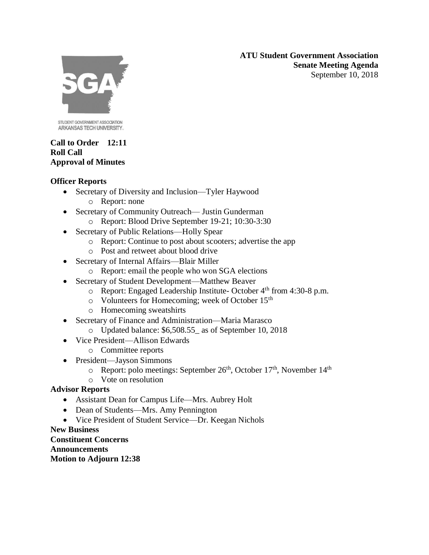**ATU Student Government Association Senate Meeting Agenda** September 10, 2018



STUDENT GOVERNMENT ASSOCIATION ARKANSAS TECH UNIVERSITY.

#### **Call to Order 12:11 Roll Call Approval of Minutes**

### **Officer Reports**

- Secretary of Diversity and Inclusion—Tyler Haywood
	- o Report: none
- Secretary of Community Outreach— Justin Gunderman
	- o Report: Blood Drive September 19-21; 10:30-3:30
- Secretary of Public Relations—Holly Spear
	- o Report: Continue to post about scooters; advertise the app
	- o Post and retweet about blood drive
- Secretary of Internal Affairs—Blair Miller
	- o Report: email the people who won SGA elections
- Secretary of Student Development—Matthew Beaver
	- $\circ$  Report: Engaged Leadership Institute- October 4<sup>th</sup> from 4:30-8 p.m.
	- o Volunteers for Homecoming; week of October 15th
	- o Homecoming sweatshirts
- Secretary of Finance and Administration—Maria Marasco
	- o Updated balance: \$6,508.55\_ as of September 10, 2018
- Vice President—Allison Edwards
	- o Committee reports
- President—Jayson Simmons
	- $\circ$  Report: polo meetings: September 26<sup>th</sup>, October 17<sup>th</sup>, November 14<sup>th</sup>
	- o Vote on resolution

## **Advisor Reports**

- Assistant Dean for Campus Life—Mrs. Aubrey Holt
- Dean of Students—Mrs. Amy Pennington
- Vice President of Student Service—Dr. Keegan Nichols

#### **New Business**

**Constituent Concerns Announcements Motion to Adjourn 12:38**